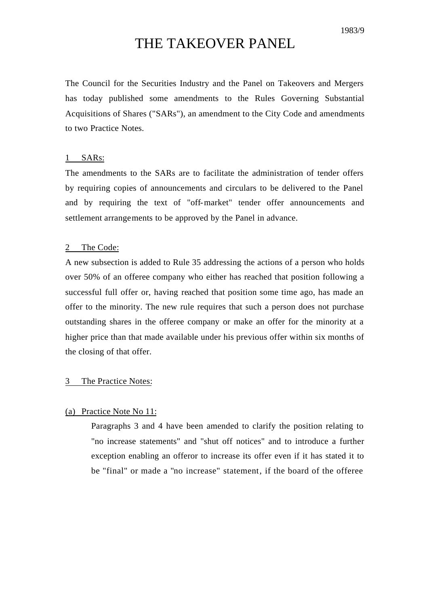# THE TAKEOVER PANEL

The Council for the Securities Industry and the Panel on Takeovers and Mergers has today published some amendments to the Rules Governing Substantial Acquisitions of Shares ("SARs"), an amendment to the City Code and amendments to two Practice Notes.

## 1 SARs:

The amendments to the SARs are to facilitate the administration of tender offers by requiring copies of announcements and circulars to be delivered to the Panel and by requiring the text of "off-market" tender offer announcements and settlement arrangements to be approved by the Panel in advance.

## 2 The Code:

A new subsection is added to Rule 35 addressing the actions of a person who holds over 50% of an offeree company who either has reached that position following a successful full offer or, having reached that position some time ago, has made an offer to the minority. The new rule requires that such a person does not purchase outstanding shares in the offeree company or make an offer for the minority at a higher price than that made available under his previous offer within six months of the closing of that offer.

#### 3 The Practice Notes:

# (a) Practice Note No 11:

Paragraphs 3 and 4 have been amended to clarify the position relating to "no increase statements" and "shut off notices" and to introduce a further exception enabling an offeror to increase its offer even if it has stated it to be "final" or made a "no increase" statement, if the board of the offeree